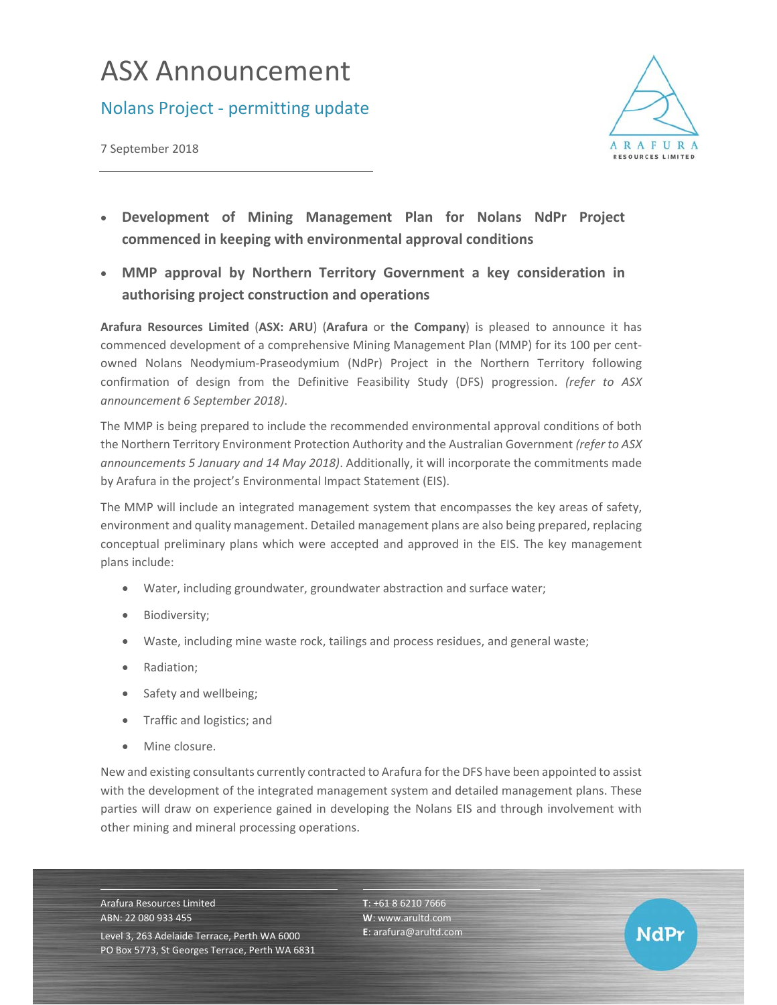## ASX Announcement

## Nolans Project ‐ permitting update





**NdPr** 

- **Development of Mining Management Plan for Nolans NdPr Project commenced in keeping with environmental approval conditions**
- **MMP approval by Northern Territory Government a key consideration in authorising project construction and operations**

**Arafura Resources Limited** (**ASX: ARU**) (**Arafura** or **the Company**) is pleased to announce it has commenced development of a comprehensive Mining Management Plan (MMP) for its 100 per cent‐ owned Nolans Neodymium‐Praseodymium (NdPr) Project in the Northern Territory following confirmation of design from the Definitive Feasibility Study (DFS) progression. *(refer to ASX announcement 6 September 2018)*.

The MMP is being prepared to include the recommended environmental approval conditions of both the Northern Territory Environment Protection Authority and the Australian Government *(refer to ASX announcements 5 January and 14 May 2018)*. Additionally, it will incorporate the commitments made by Arafura in the project's Environmental Impact Statement (EIS).

The MMP will include an integrated management system that encompasses the key areas of safety, environment and quality management. Detailed management plans are also being prepared, replacing conceptual preliminary plans which were accepted and approved in the EIS. The key management plans include:

- Water, including groundwater, groundwater abstraction and surface water;
- Biodiversity;
- Waste, including mine waste rock, tailings and process residues, and general waste;
- Radiation:
- Safety and wellbeing;
- Traffic and logistics; and
- Mine closure.

New and existing consultants currently contracted to Arafura for the DFS have been appointed to assist with the development of the integrated management system and detailed management plans. These parties will draw on experience gained in developing the Nolans EIS and through involvement with other mining and mineral processing operations.

Arafura Resources Limited ABN: 22 080 933 455 Level 3, 263 Adelaide Terrace, Perth WA 6000 PO Box 5773, St Georges Terrace, Perth WA 6831 **T**: +61 8 6210 7666 **W**: www.arultd.com **E**: arafura@arultd.com